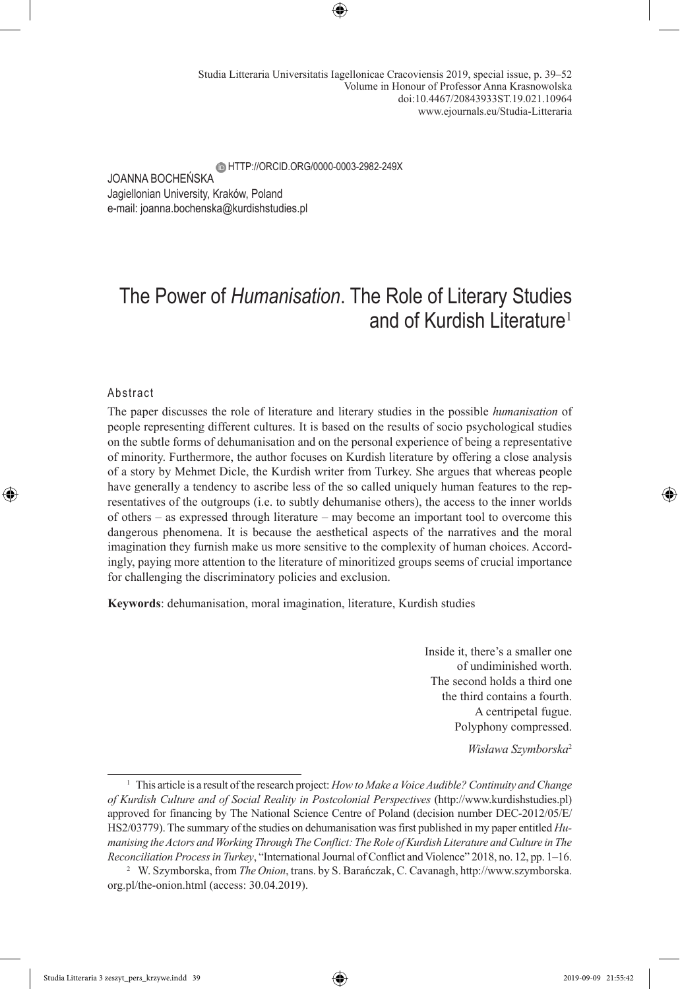JOANNA BOCHEŃSKA Jagiellonian University, Kraków, Poland e-mail: joanna.bochenska@kurdishstudies.pl **EM HTTP://ORCID.ORG/0000-0003-2982-249X** 

# The Power of *Humanisation*. The Role of Literary Studies and of Kurdish Literature<sup>1</sup>

#### Abstract

The paper discusses the role of literature and literary studies in the possible *humanisation* of people representing different cultures. It is based on the results of socio psychological studies on the subtle forms of dehumanisation and on the personal experience of being a representative of minority. Furthermore, the author focuses on Kurdish literature by offering a close analysis of a story by Mehmet Dicle, the Kurdish writer from Turkey. She argues that whereas people have generally a tendency to ascribe less of the so called uniquely human features to the representatives of the outgroups (i.e. to subtly dehumanise others), the access to the inner worlds of others – as expressed through literature – may become an important tool to overcome this dangerous phenomena. It is because the aesthetical aspects of the narratives and the moral imagination they furnish make us more sensitive to the complexity of human choices. Accordingly, paying more attention to the literature of minoritized groups seems of crucial importance for challenging the discriminatory policies and exclusion.

**Keywords**: dehumanisation, moral imagination, literature, Kurdish studies

Inside it, there's a smaller one of undiminished worth. The second holds a third one the third contains a fourth. A centripetal fugue. Polyphony compressed.

*Wisława Szymborska*<sup>2</sup>

<sup>1</sup> This article is a result of the research project: *How to Make a Voice Audible? Continuity and Change of Kurdish Culture and of Social Reality in Postcolonial Perspectives* (http://www.kurdishstudies.pl) approved for financing by The National Science Centre of Poland (decision number DEC-2012/05/E/ HS2/03779). The summary of the studies on dehumanisation was first published in my paper entitled *Humanising the Actors and Working Through The Conflict: The Role of Kurdish Literature and Culture in The Reconciliation Process in Turkey*, "International Journal of Conflict and Violence" 2018, no. 12, pp. 1–16.

<sup>2</sup> W. Szymborska, from *The Onion*, trans. by S. Barańczak, C. Cavanagh, http://www.szymborska. org.pl/the-onion.html (access: 30.04.2019).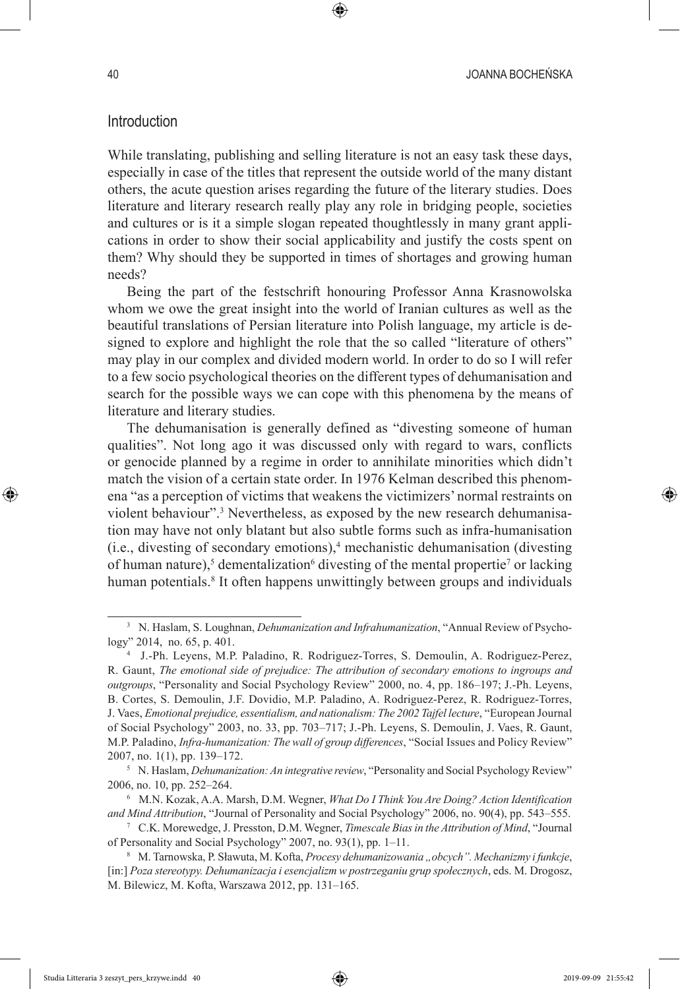### Introduction

While translating, publishing and selling literature is not an easy task these days, especially in case of the titles that represent the outside world of the many distant others, the acute question arises regarding the future of the literary studies. Does literature and literary research really play any role in bridging people, societies and cultures or is it a simple slogan repeated thoughtlessly in many grant applications in order to show their social applicability and justify the costs spent on them? Why should they be supported in times of shortages and growing human needs?

Being the part of the festschrift honouring Professor Anna Krasnowolska whom we owe the great insight into the world of Iranian cultures as well as the beautiful translations of Persian literature into Polish language, my article is designed to explore and highlight the role that the so called "literature of others" may play in our complex and divided modern world. In order to do so I will refer to a few socio psychological theories on the different types of dehumanisation and search for the possible ways we can cope with this phenomena by the means of literature and literary studies.

The dehumanisation is generally defined as "divesting someone of human qualities". Not long ago it was discussed only with regard to wars, conflicts or genocide planned by a regime in order to annihilate minorities which didn't match the vision of a certain state order. In 1976 Kelman described this phenomena "as a perception of victims that weakens the victimizers' normal restraints on violent behaviour".<sup>3</sup> Nevertheless, as exposed by the new research dehumanisation may have not only blatant but also subtle forms such as infra-humanisation  $(i.e.,$  divesting of secondary emotions), $4$  mechanistic dehumanisation (divesting of human nature),<sup>5</sup> dementalization<sup>6</sup> divesting of the mental propertie<sup>7</sup> or lacking human potentials.<sup>8</sup> It often happens unwittingly between groups and individuals

<sup>8</sup> M. Tarnowska, P. Sławuta, M. Kofta, *Procesy dehumanizowania "obcych". Mechanizmy i funkcje*, [in:] *Poza stereotypy. Dehumanizacja i esencjalizm w postrzeganiu grup społecznych*, eds. M. Drogosz, M. Bilewicz, M. Kofta, Warszawa 2012, pp. 131–165.

<sup>3</sup> N. Haslam, S. Loughnan, *Dehumanization and Infrahumanization*, "Annual Review of Psychology" 2014, no. 65, p. 401.

<sup>4</sup> J.-Ph. Leyens, M.P. Paladino, R. Rodriguez-Torres, S. Demoulin, A. Rodriguez-Perez, R. Gaunt, *The emotional side of prejudice: The attribution of secondary emotions to ingroups and outgroups*, "Personality and Social Psychology Review" 2000, no. 4, pp. 186–197; J.-Ph. Leyens, B. Cortes, S. Demoulin, J.F. Dovidio, M.P. Paladino, A. Rodriguez-Perez, R. Rodriguez-Torres, J. Vaes, *Emotional prejudice, essentialism, and nationalism: The 2002 Tajfel lecture*, "European Journal of Social Psychology" 2003, no. 33, pp. 703–717; J.-Ph. Leyens, S. Demoulin, J. Vaes, R. Gaunt, M.P. Paladino, *Infra-humanization: The wall of group differences*, "Social Issues and Policy Review" 2007, no. 1(1), pp. 139–172.

<sup>&</sup>lt;sup>5</sup> N. Haslam, *Dehumanization: An integrative review*, "Personality and Social Psychology Review" 2006, no. 10, pp. 252–264.

<sup>6</sup> M.N. Kozak, A.A. Marsh, D.M. Wegner, *What Do I Think You Are Doing? Action Identification and Mind Attribution*, "Journal of Personality and Social Psychology" 2006, no. 90(4), pp. 543–555.

<sup>7</sup> C.K. Morewedge, J. Presston, D.M. Wegner, *Timescale Bias in the Attribution of Mind*, "Journal of Personality and Social Psychology" 2007, no. 93(1), pp. 1–11.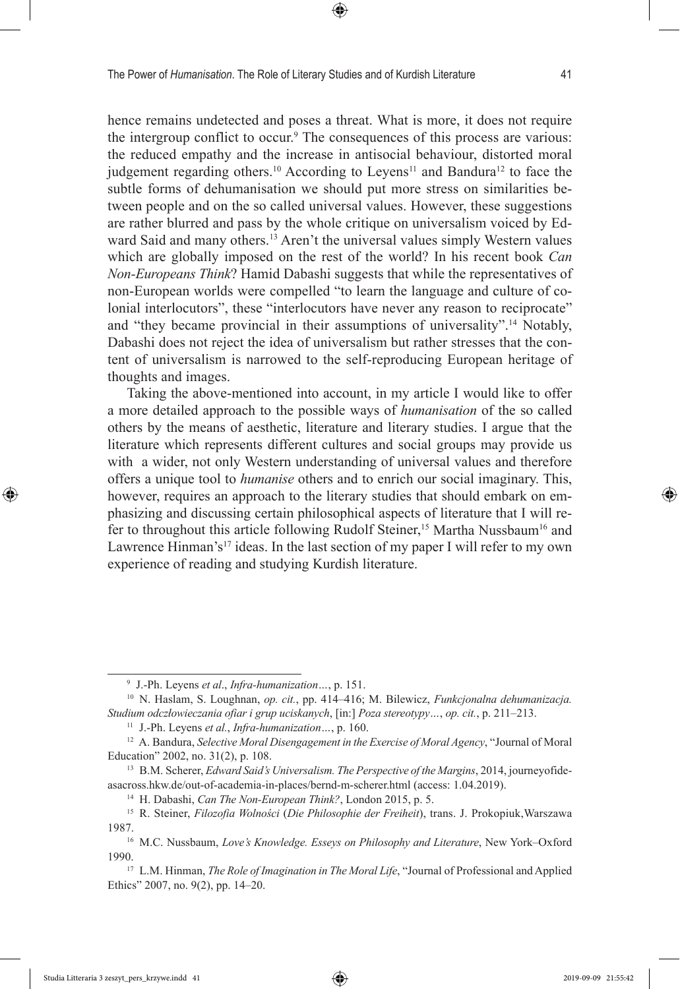hence remains undetected and poses a threat. What is more, it does not require the intergroup conflict to occur.<sup>9</sup> The consequences of this process are various: the reduced empathy and the increase in antisocial behaviour, distorted moral judgement regarding others.<sup>10</sup> According to Leyens<sup>11</sup> and Bandura<sup>12</sup> to face the subtle forms of dehumanisation we should put more stress on similarities between people and on the so called universal values. However, these suggestions are rather blurred and pass by the whole critique on universalism voiced by Edward Said and many others.<sup>13</sup> Aren't the universal values simply Western values which are globally imposed on the rest of the world? In his recent book *Can Non-Europeans Think*? Hamid Dabashi suggests that while the representatives of non-European worlds were compelled "to learn the language and culture of colonial interlocutors", these "interlocutors have never any reason to reciprocate" and "they became provincial in their assumptions of universality".14 Notably, Dabashi does not reject the idea of universalism but rather stresses that the content of universalism is narrowed to the self-reproducing European heritage of thoughts and images.

Taking the above-mentioned into account, in my article I would like to offer a more detailed approach to the possible ways of *humanisation* of the so called others by the means of aesthetic, literature and literary studies. I argue that the literature which represents different cultures and social groups may provide us with a wider, not only Western understanding of universal values and therefore offers a unique tool to *humanise* others and to enrich our social imaginary. This, however, requires an approach to the literary studies that should embark on emphasizing and discussing certain philosophical aspects of literature that I will refer to throughout this article following Rudolf Steiner,<sup>15</sup> Martha Nussbaum<sup>16</sup> and Lawrence Hinman's<sup>17</sup> ideas. In the last section of my paper I will refer to my own experience of reading and studying Kurdish literature.

<sup>9</sup> J.-Ph. Leyens *et al*., *Infra-humanization…*, p. 151.

<sup>10</sup> N. Haslam, S. Loughnan, *op. cit.*, pp. 414–416; M. Bilewicz, *Funkcjonalna dehumanizacja. Studium odczłowieczania ofiar i grup uciskanych*, [in:] *Poza stereotypy…*, *op. cit.*, p. 211–213.

<sup>11</sup> J.-Ph. Leyens *et al.*, *Infra-humanization…*, p. 160.

<sup>&</sup>lt;sup>12</sup> A. Bandura, *Selective Moral Disengagement in the Exercise of Moral Agency*, "Journal of Moral Education" 2002, no. 31(2), p. 108.

<sup>13</sup> B.M. Scherer, *Edward Said's Universalism. The Perspective of the Margins*, 2014, journeyofideasacross.hkw.de/out-of-academia-in-places/bernd-m-scherer.html (access: 1.04.2019).

<sup>14</sup> H. Dabashi, *Can The Non-European Think?*, London 2015, p. 5.

<sup>15</sup> R. Steiner, *Filozofia Wolności* (*Die Philosophie der Freiheit*), trans. J. Prokopiuk,Warszawa 1987.

<sup>16</sup> M.C. Nussbaum, *Love's Knowledge. Esseys on Philosophy and Literature*, New York–Oxford 1990.

<sup>17</sup> L.M. Hinman, *The Role of Imagination in The Moral Life*, "Journal of Professional and Applied Ethics" 2007, no. 9(2), pp. 14–20.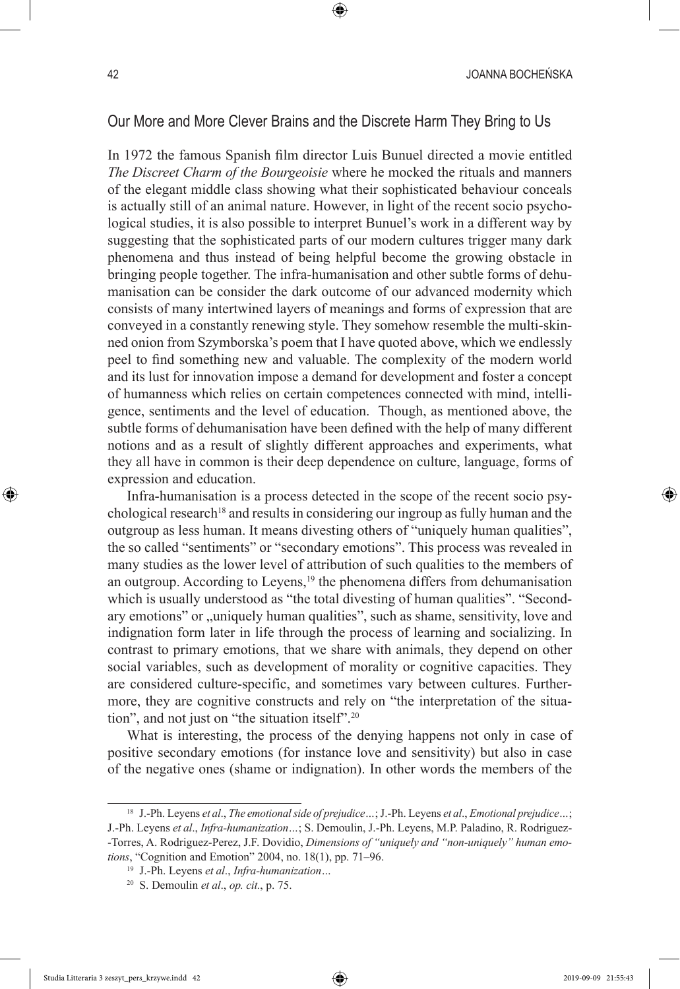# Our More and More Clever Brains and the Discrete Harm They Bring to Us

In 1972 the famous Spanish film director Luis Bunuel directed a movie entitled *The Discreet Charm of the Bourgeoisie* where he mocked the rituals and manners of the elegant middle class showing what their sophisticated behaviour conceals is actually still of an animal nature. However, in light of the recent socio psychological studies, it is also possible to interpret Bunuel's work in a different way by suggesting that the sophisticated parts of our modern cultures trigger many dark phenomena and thus instead of being helpful become the growing obstacle in bringing people together. The infra-humanisation and other subtle forms of dehumanisation can be consider the dark outcome of our advanced modernity which consists of many intertwined layers of meanings and forms of expression that are conveyed in a constantly renewing style. They somehow resemble the multi-skinned onion from Szymborska's poem that I have quoted above, which we endlessly peel to find something new and valuable. The complexity of the modern world and its lust for innovation impose a demand for development and foster a concept of humanness which relies on certain competences connected with mind, intelligence, sentiments and the level of education. Though, as mentioned above, the subtle forms of dehumanisation have been defined with the help of many different notions and as a result of slightly different approaches and experiments, what they all have in common is their deep dependence on culture, language, forms of expression and education.

Infra-humanisation is a process detected in the scope of the recent socio psychological research<sup>18</sup> and results in considering our ingroup as fully human and the outgroup as less human. It means divesting others of "uniquely human qualities", the so called "sentiments" or "secondary emotions". This process was revealed in many studies as the lower level of attribution of such qualities to the members of an outgroup. According to Leyens,<sup>19</sup> the phenomena differs from dehumanisation which is usually understood as "the total divesting of human qualities". "Secondary emotions" or  $\alpha$ , uniquely human qualities", such as shame, sensitivity, love and indignation form later in life through the process of learning and socializing. In contrast to primary emotions, that we share with animals, they depend on other social variables, such as development of morality or cognitive capacities. They are considered culture-specific, and sometimes vary between cultures. Furthermore, they are cognitive constructs and rely on "the interpretation of the situation", and not just on "the situation itself".20

What is interesting, the process of the denying happens not only in case of positive secondary emotions (for instance love and sensitivity) but also in case of the negative ones (shame or indignation). In other words the members of the

<sup>18</sup> J.-Ph. Leyens *et al*., *The emotional side of prejudice…*; J.-Ph. Leyens *et al*., *Emotional prejudice…*; J.-Ph. Leyens *et al*., *Infra-humanization…*; S. Demoulin, J.-Ph. Leyens, M.P. Paladino, R. Rodriguez- -Torres, A. Rodriguez-Perez, J.F. Dovidio, *Dimensions of "uniquely and "non-uniquely" human emotions*, "Cognition and Emotion" 2004, no. 18(1), pp. 71–96.

<sup>19</sup> J.-Ph. Leyens *et al*., *Infra-humanization…*

<sup>20</sup> S. Demoulin *et al*., *op. cit.*, p. 75.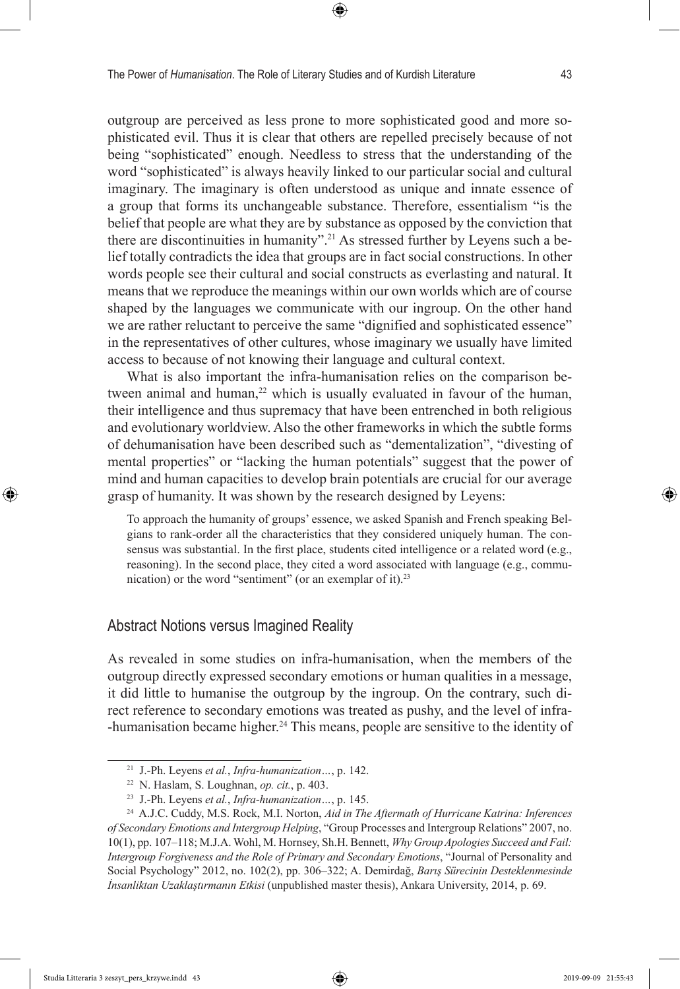outgroup are perceived as less prone to more sophisticated good and more sophisticated evil. Thus it is clear that others are repelled precisely because of not being "sophisticated" enough. Needless to stress that the understanding of the word "sophisticated" is always heavily linked to our particular social and cultural imaginary. The imaginary is often understood as unique and innate essence of a group that forms its unchangeable substance. Therefore, essentialism "is the belief that people are what they are by substance as opposed by the conviction that there are discontinuities in humanity".<sup>21</sup> As stressed further by Leyens such a belief totally contradicts the idea that groups are in fact social constructions. In other words people see their cultural and social constructs as everlasting and natural. It means that we reproduce the meanings within our own worlds which are of course shaped by the languages we communicate with our ingroup. On the other hand we are rather reluctant to perceive the same "dignified and sophisticated essence" in the representatives of other cultures, whose imaginary we usually have limited access to because of not knowing their language and cultural context.

What is also important the infra-humanisation relies on the comparison between animal and human,<sup>22</sup> which is usually evaluated in favour of the human, their intelligence and thus supremacy that have been entrenched in both religious and evolutionary worldview. Also the other frameworks in which the subtle forms of dehumanisation have been described such as "dementalization", "divesting of mental properties" or "lacking the human potentials" suggest that the power of mind and human capacities to develop brain potentials are crucial for our average grasp of humanity. It was shown by the research designed by Leyens:

To approach the humanity of groups' essence, we asked Spanish and French speaking Belgians to rank-order all the characteristics that they considered uniquely human. The consensus was substantial. In the first place, students cited intelligence or a related word (e.g., reasoning). In the second place, they cited a word associated with language (e.g., communication) or the word "sentiment" (or an exemplar of it).<sup>23</sup>

# Abstract Notions versus Imagined Reality

As revealed in some studies on infra-humanisation, when the members of the outgroup directly expressed secondary emotions or human qualities in a message, it did little to humanise the outgroup by the ingroup. On the contrary, such direct reference to secondary emotions was treated as pushy, and the level of infra- -humanisation became higher.24 This means, people are sensitive to the identity of

<sup>21</sup> J.-Ph. Leyens *et al.*, *Infra-humanization…*, p. 142.

<sup>22</sup> N. Haslam, S. Loughnan, *op. cit.*, p. 403.

<sup>23</sup> J.-Ph. Leyens *et al.*, *Infra-humanization…*, p. 145.

<sup>24</sup> A.J.C. Cuddy, M.S. Rock, M.I. Norton, *Aid in The Aftermath of Hurricane Katrina: Inferences of Secondary Emotions and Intergroup Helping*, "Group Processes and Intergroup Relations" 2007, no. 10(1), pp. 107–118; M.J.A. Wohl, M. Hornsey, Sh.H. Bennett, *Why Group Apologies Succeed and Fail: Intergroup Forgiveness and the Role of Primary and Secondary Emotions*, "Journal of Personality and Social Psychology" 2012, no. 102(2), pp. 306–322; A. Demirdağ, *Barış Sürecinin Desteklenmesinde İnsanliktan Uzaklaştırmanın Etkisi* (unpublished master thesis), Ankara University, 2014, p. 69.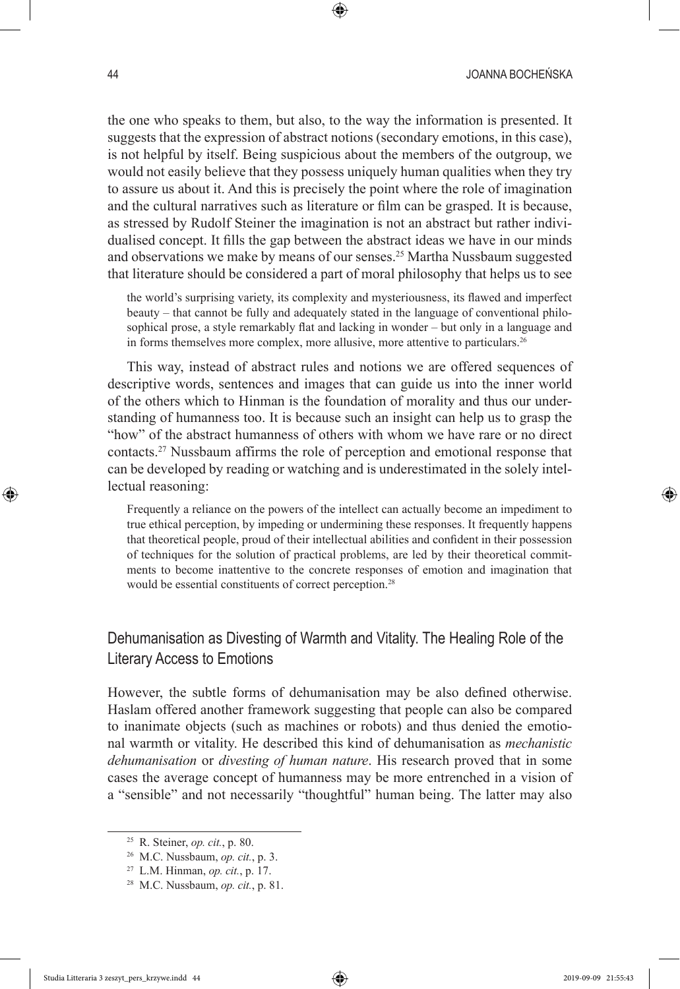the one who speaks to them, but also, to the way the information is presented. It suggests that the expression of abstract notions (secondary emotions, in this case), is not helpful by itself. Being suspicious about the members of the outgroup, we would not easily believe that they possess uniquely human qualities when they try to assure us about it. And this is precisely the point where the role of imagination and the cultural narratives such as literature or film can be grasped. It is because, as stressed by Rudolf Steiner the imagination is not an abstract but rather individualised concept. It fills the gap between the abstract ideas we have in our minds and observations we make by means of our senses.<sup>25</sup> Martha Nussbaum suggested that literature should be considered a part of moral philosophy that helps us to see

the world's surprising variety, its complexity and mysteriousness, its flawed and imperfect beauty – that cannot be fully and adequately stated in the language of conventional philosophical prose, a style remarkably flat and lacking in wonder – but only in a language and in forms themselves more complex, more allusive, more attentive to particulars.<sup>26</sup>

This way, instead of abstract rules and notions we are offered sequences of descriptive words, sentences and images that can guide us into the inner world of the others which to Hinman is the foundation of morality and thus our understanding of humanness too. It is because such an insight can help us to grasp the "how" of the abstract humanness of others with whom we have rare or no direct contacts.27 Nussbaum affirms the role of perception and emotional response that can be developed by reading or watching and is underestimated in the solely intellectual reasoning:

Frequently a reliance on the powers of the intellect can actually become an impediment to true ethical perception, by impeding or undermining these responses. It frequently happens that theoretical people, proud of their intellectual abilities and confident in their possession of techniques for the solution of practical problems, are led by their theoretical commitments to become inattentive to the concrete responses of emotion and imagination that would be essential constituents of correct perception.28

# Dehumanisation as Divesting of Warmth and Vitality. The Healing Role of the Literary Access to Emotions

However, the subtle forms of dehumanisation may be also defined otherwise. Haslam offered another framework suggesting that people can also be compared to inanimate objects (such as machines or robots) and thus denied the emotional warmth or vitality. He described this kind of dehumanisation as *mechanistic dehumanisation* or *divesting of human nature*. His research proved that in some cases the average concept of humanness may be more entrenched in a vision of a "sensible" and not necessarily "thoughtful" human being. The latter may also

<sup>25</sup> R. Steiner, *op. cit.*, p. 80.

<sup>26</sup> M.C. Nussbaum, *op. cit.*, p. 3.

<sup>27</sup> L.M. Hinman, *op. cit.*, p. 17.

<sup>28</sup> M.C. Nussbaum, *op. cit.*, p. 81.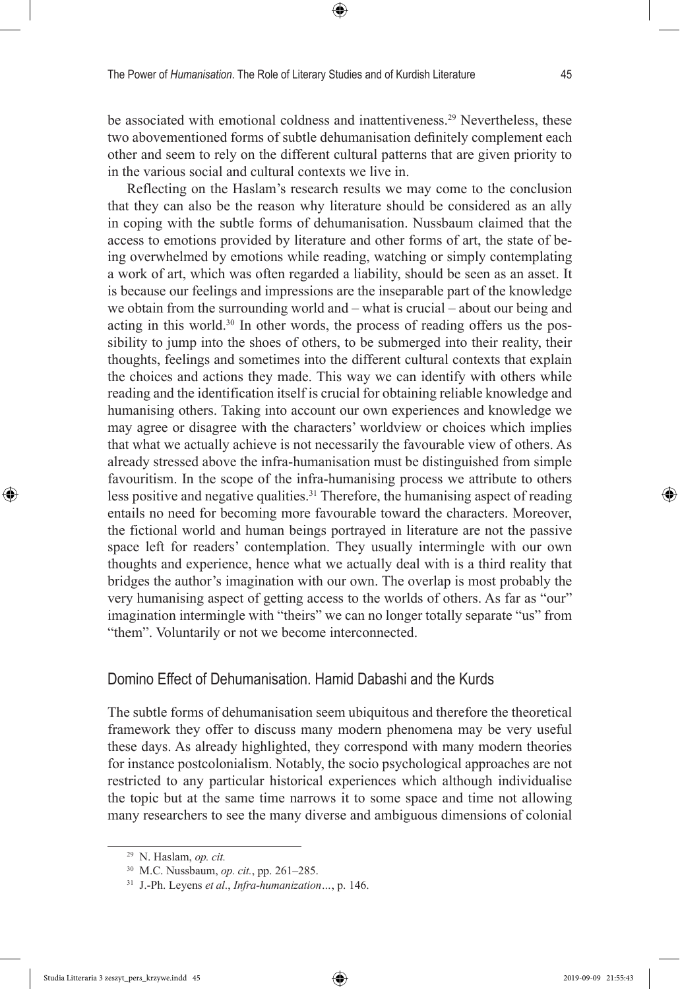be associated with emotional coldness and inattentiveness.<sup>29</sup> Nevertheless, these two abovementioned forms of subtle dehumanisation definitely complement each other and seem to rely on the different cultural patterns that are given priority to in the various social and cultural contexts we live in.

Reflecting on the Haslam's research results we may come to the conclusion that they can also be the reason why literature should be considered as an ally in coping with the subtle forms of dehumanisation. Nussbaum claimed that the access to emotions provided by literature and other forms of art, the state of being overwhelmed by emotions while reading, watching or simply contemplating a work of art, which was often regarded a liability, should be seen as an asset. It is because our feelings and impressions are the inseparable part of the knowledge we obtain from the surrounding world and – what is crucial – about our being and acting in this world.30 In other words, the process of reading offers us the possibility to jump into the shoes of others, to be submerged into their reality, their thoughts, feelings and sometimes into the different cultural contexts that explain the choices and actions they made. This way we can identify with others while reading and the identification itself is crucial for obtaining reliable knowledge and humanising others. Taking into account our own experiences and knowledge we may agree or disagree with the characters' worldview or choices which implies that what we actually achieve is not necessarily the favourable view of others. As already stressed above the infra-humanisation must be distinguished from simple favouritism. In the scope of the infra-humanising process we attribute to others less positive and negative qualities.<sup>31</sup> Therefore, the humanising aspect of reading entails no need for becoming more favourable toward the characters. Moreover, the fictional world and human beings portrayed in literature are not the passive space left for readers' contemplation. They usually intermingle with our own thoughts and experience, hence what we actually deal with is a third reality that bridges the author's imagination with our own. The overlap is most probably the very humanising aspect of getting access to the worlds of others. As far as "our" imagination intermingle with "theirs" we can no longer totally separate "us" from "them". Voluntarily or not we become interconnected.

### Domino Effect of Dehumanisation. Hamid Dabashi and the Kurds

The subtle forms of dehumanisation seem ubiquitous and therefore the theoretical framework they offer to discuss many modern phenomena may be very useful these days. As already highlighted, they correspond with many modern theories for instance postcolonialism. Notably, the socio psychological approaches are not restricted to any particular historical experiences which although individualise the topic but at the same time narrows it to some space and time not allowing many researchers to see the many diverse and ambiguous dimensions of colonial

<sup>29</sup> N. Haslam, *op. cit.*

<sup>30</sup> M.C. Nussbaum, *op. cit.*, pp. 261–285.

<sup>31</sup> J.-Ph. Leyens *et al*., *Infra-humanization…*, p. 146.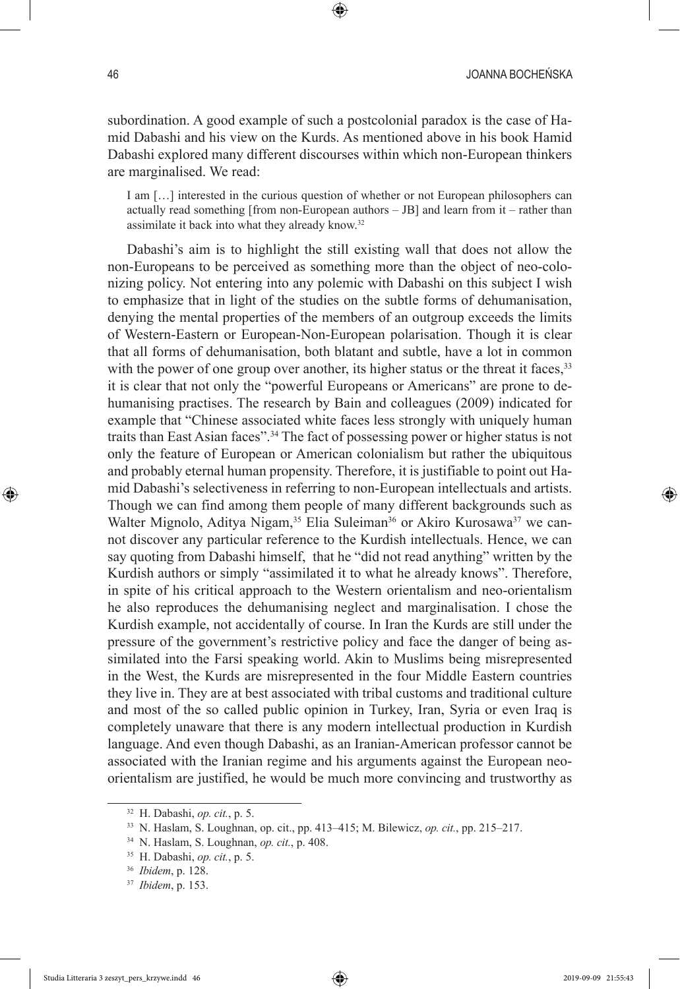subordination. A good example of such a postcolonial paradox is the case of Hamid Dabashi and his view on the Kurds. As mentioned above in his book Hamid Dabashi explored many different discourses within which non-European thinkers are marginalised. We read:

I am […] interested in the curious question of whether or not European philosophers can actually read something [from non-European authors – JB] and learn from it – rather than assimilate it back into what they already know.32

Dabashi's aim is to highlight the still existing wall that does not allow the non-Europeans to be perceived as something more than the object of neo-colonizing policy. Not entering into any polemic with Dabashi on this subject I wish to emphasize that in light of the studies on the subtle forms of dehumanisation, denying the mental properties of the members of an outgroup exceeds the limits of Western-Eastern or European-Non-European polarisation. Though it is clear that all forms of dehumanisation, both blatant and subtle, have a lot in common with the power of one group over another, its higher status or the threat it faces, <sup>33</sup> it is clear that not only the "powerful Europeans or Americans" are prone to dehumanising practises. The research by Bain and colleagues (2009) indicated for example that "Chinese associated white faces less strongly with uniquely human traits than East Asian faces".34 The fact of possessing power or higher status is not only the feature of European or American colonialism but rather the ubiquitous and probably eternal human propensity. Therefore, it is justifiable to point out Hamid Dabashi's selectiveness in referring to non-European intellectuals and artists. Though we can find among them people of many different backgrounds such as Walter Mignolo, Aditya Nigam,<sup>35</sup> Elia Suleiman<sup>36</sup> or Akiro Kurosawa<sup>37</sup> we cannot discover any particular reference to the Kurdish intellectuals. Hence, we can say quoting from Dabashi himself, that he "did not read anything" written by the Kurdish authors or simply "assimilated it to what he already knows". Therefore, in spite of his critical approach to the Western orientalism and neo-orientalism he also reproduces the dehumanising neglect and marginalisation. I chose the Kurdish example, not accidentally of course. In Iran the Kurds are still under the pressure of the government's restrictive policy and face the danger of being assimilated into the Farsi speaking world. Akin to Muslims being misrepresented in the West, the Kurds are misrepresented in the four Middle Eastern countries they live in. They are at best associated with tribal customs and traditional culture and most of the so called public opinion in Turkey, Iran, Syria or even Iraq is completely unaware that there is any modern intellectual production in Kurdish language. And even though Dabashi, as an Iranian-American professor cannot be associated with the Iranian regime and his arguments against the European neoorientalism are justified, he would be much more convincing and trustworthy as

<sup>32</sup> H. Dabashi, *op. cit.*, p. 5.

<sup>33</sup> N. Haslam, S. Loughnan, op. cit., pp. 413–415; M. Bilewicz, *op. cit.*, pp. 215–217.

<sup>34</sup> N. Haslam, S. Loughnan, *op. cit.*, p. 408.

<sup>35</sup> H. Dabashi, *op. cit.*, p. 5.

<sup>36</sup> *Ibidem*, p. 128.

<sup>37</sup> *Ibidem*, p. 153.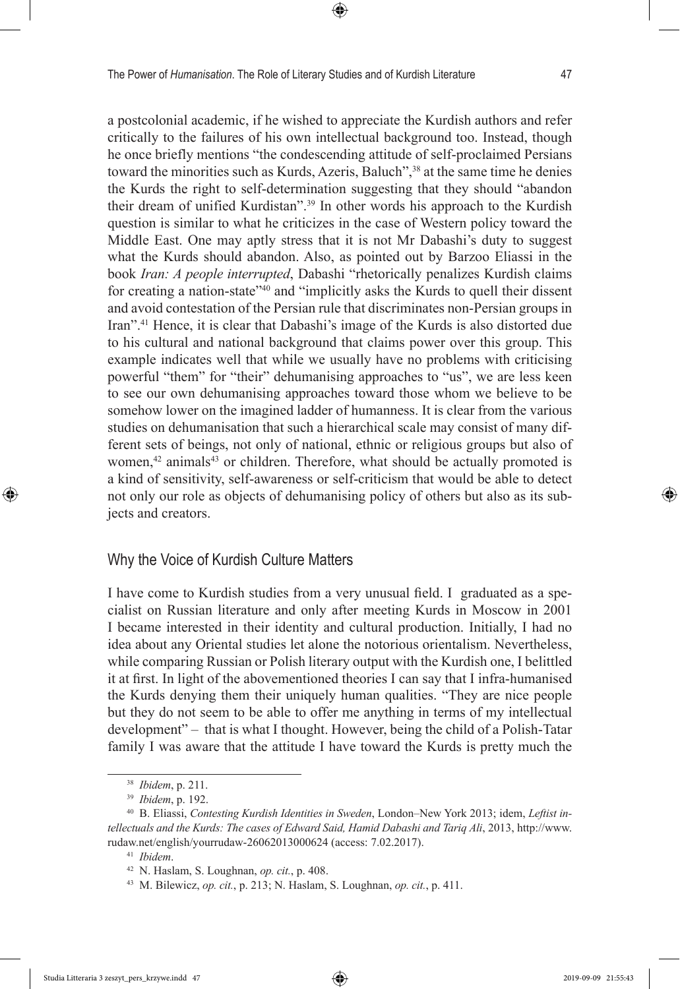a postcolonial academic, if he wished to appreciate the Kurdish authors and refer critically to the failures of his own intellectual background too. Instead, though he once briefly mentions "the condescending attitude of self-proclaimed Persians toward the minorities such as Kurds, Azeris, Baluch",<sup>38</sup> at the same time he denies the Kurds the right to self-determination suggesting that they should "abandon their dream of unified Kurdistan".39 In other words his approach to the Kurdish question is similar to what he criticizes in the case of Western policy toward the Middle East. One may aptly stress that it is not Mr Dabashi's duty to suggest what the Kurds should abandon. Also, as pointed out by Barzoo Eliassi in the book *Iran: A people interrupted*, Dabashi "rhetorically penalizes Kurdish claims for creating a nation-state"<sup>40</sup> and "implicitly asks the Kurds to quell their dissent and avoid contestation of the Persian rule that discriminates non-Persian groups in Iran".41 Hence, it is clear that Dabashi's image of the Kurds is also distorted due to his cultural and national background that claims power over this group. This example indicates well that while we usually have no problems with criticising powerful "them" for "their" dehumanising approaches to "us", we are less keen to see our own dehumanising approaches toward those whom we believe to be somehow lower on the imagined ladder of humanness. It is clear from the various studies on dehumanisation that such a hierarchical scale may consist of many different sets of beings, not only of national, ethnic or religious groups but also of women,<sup>42</sup> animals<sup>43</sup> or children. Therefore, what should be actually promoted is a kind of sensitivity, self-awareness or self-criticism that would be able to detect not only our role as objects of dehumanising policy of others but also as its subjects and creators.

### Why the Voice of Kurdish Culture Matters

I have come to Kurdish studies from a very unusual field. I graduated as a specialist on Russian literature and only after meeting Kurds in Moscow in 2001 I became interested in their identity and cultural production. Initially, I had no idea about any Oriental studies let alone the notorious orientalism. Nevertheless, while comparing Russian or Polish literary output with the Kurdish one, I belittled it at first. In light of the abovementioned theories I can say that I infra-humanised the Kurds denying them their uniquely human qualities. "They are nice people but they do not seem to be able to offer me anything in terms of my intellectual development" – that is what I thought. However, being the child of a Polish-Tatar family I was aware that the attitude I have toward the Kurds is pretty much the

<sup>38</sup> *Ibidem*, p. 211.

<sup>39</sup> *Ibidem*, p. 192.

<sup>40</sup> B. Eliassi, *Contesting Kurdish Identities in Sweden*, London–New York 2013; idem, *Leftist intellectuals and the Kurds: The cases of Edward Said, Hamid Dabashi and Tariq Ali*, 2013, http://www. rudaw.net/english/yourrudaw-26062013000624 (access: 7.02.2017).

<sup>41</sup> *Ibidem*.

<sup>42</sup> N. Haslam, S. Loughnan, *op. cit.*, p. 408.

<sup>43</sup> M. Bilewicz, *op. cit.*, p. 213; N. Haslam, S. Loughnan, *op. cit.*, p. 411.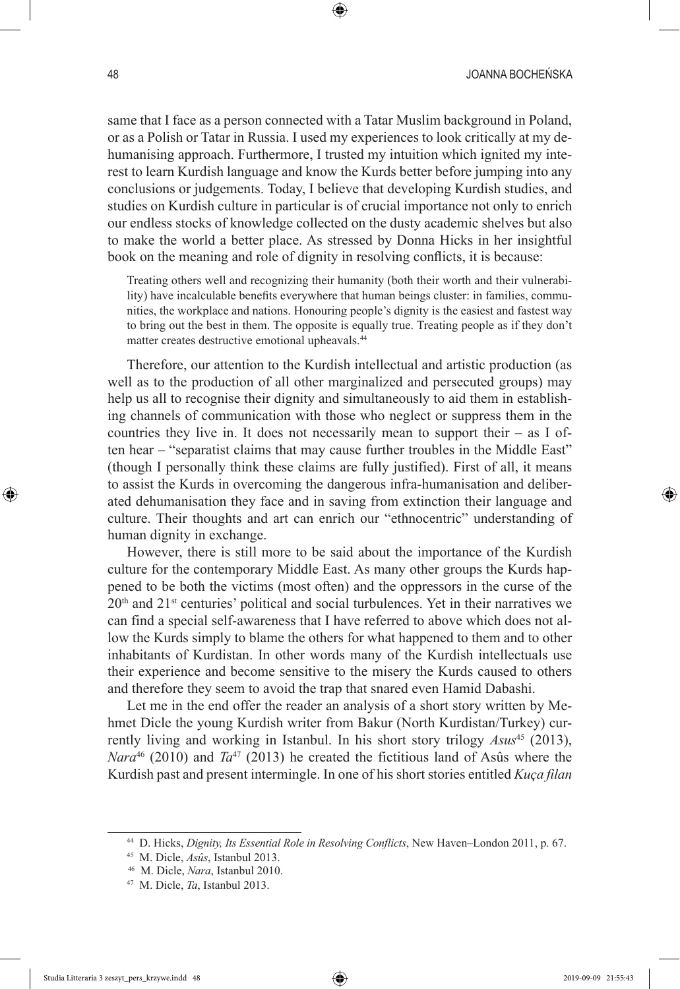same that I face as a person connected with a Tatar Muslim background in Poland, or as a Polish or Tatar in Russia. I used my experiences to look critically at my dehumanising approach. Furthermore, I trusted my intuition which ignited my interest to learn Kurdish language and know the Kurds better before jumping into any conclusions or judgements. Today, I believe that developing Kurdish studies, and studies on Kurdish culture in particular is of crucial importance not only to enrich our endless stocks of knowledge collected on the dusty academic shelves but also to make the world a better place. As stressed by Donna Hicks in her insightful book on the meaning and role of dignity in resolving conflicts, it is because:

Treating others well and recognizing their humanity (both their worth and their vulnerability) have incalculable benefits everywhere that human beings cluster: in families, communities, the workplace and nations. Honouring people's dignity is the easiest and fastest way to bring out the best in them. The opposite is equally true. Treating people as if they don't matter creates destructive emotional upheavals.44

Therefore, our attention to the Kurdish intellectual and artistic production (as well as to the production of all other marginalized and persecuted groups) may help us all to recognise their dignity and simultaneously to aid them in establishing channels of communication with those who neglect or suppress them in the countries they live in. It does not necessarily mean to support their – as I often hear – "separatist claims that may cause further troubles in the Middle East" (though I personally think these claims are fully justified). First of all, it means to assist the Kurds in overcoming the dangerous infra-humanisation and deliberated dehumanisation they face and in saving from extinction their language and culture. Their thoughts and art can enrich our "ethnocentric" understanding of human dignity in exchange.

However, there is still more to be said about the importance of the Kurdish culture for the contemporary Middle East. As many other groups the Kurds happened to be both the victims (most often) and the oppressors in the curse of the  $20<sup>th</sup>$  and  $21<sup>st</sup>$  centuries' political and social turbulences. Yet in their narratives we can find a special self-awareness that I have referred to above which does not allow the Kurds simply to blame the others for what happened to them and to other inhabitants of Kurdistan. In other words many of the Kurdish intellectuals use their experience and become sensitive to the misery the Kurds caused to others and therefore they seem to avoid the trap that snared even Hamid Dabashi.

Let me in the end offer the reader an analysis of a short story written by Mehmet Dicle the young Kurdish writer from Bakur (North Kurdistan/Turkey) currently living and working in Istanbul. In his short story trilogy *Asus*45 (2013), *Nara*<sup>46</sup> (2010) and  $Ta^{47}$  (2013) he created the fictitious land of Asûs where the Kurdish past and present intermingle. In one of his short stories entitled *Kuça filan*

<sup>44</sup> D. Hicks, *Dignity, Its Essential Role in Resolving Conflicts*, New Haven–London 2011, p. 67.

<sup>45</sup> M. Dicle, *Asûs*, Istanbul 2013.

<sup>46</sup> M. Dicle, *Nara*, Istanbul 2010.

<sup>47</sup> M. Dicle, *Ta*, Istanbul 2013.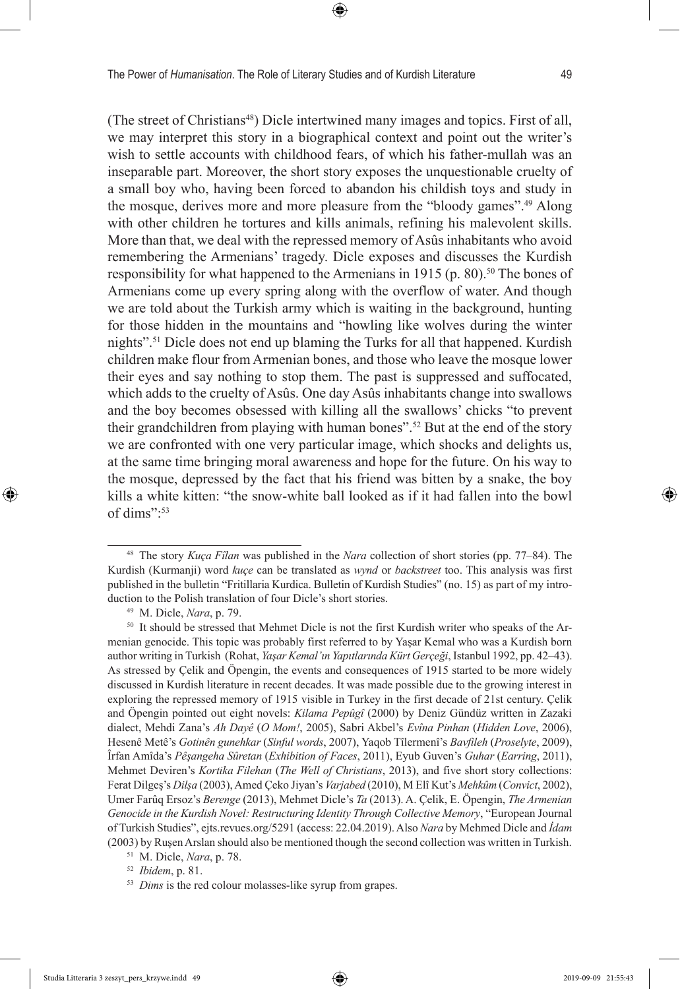(The street of Christians<sup>48</sup>) Dicle intertwined many images and topics. First of all, we may interpret this story in a biographical context and point out the writer's wish to settle accounts with childhood fears, of which his father-mullah was an inseparable part. Moreover, the short story exposes the unquestionable cruelty of a small boy who, having been forced to abandon his childish toys and study in the mosque, derives more and more pleasure from the "bloody games".49 Along with other children he tortures and kills animals, refining his malevolent skills. More than that, we deal with the repressed memory of Asûs inhabitants who avoid remembering the Armenians' tragedy. Dicle exposes and discusses the Kurdish responsibility for what happened to the Armenians in 1915 (p. 80).<sup>50</sup> The bones of Armenians come up every spring along with the overflow of water. And though we are told about the Turkish army which is waiting in the background, hunting for those hidden in the mountains and "howling like wolves during the winter nights".51 Dicle does not end up blaming the Turks for all that happened. Kurdish children make flour from Armenian bones, and those who leave the mosque lower their eyes and say nothing to stop them. The past is suppressed and suffocated, which adds to the cruelty of Asûs. One day Asûs inhabitants change into swallows and the boy becomes obsessed with killing all the swallows' chicks "to prevent their grandchildren from playing with human bones".52 But at the end of the story we are confronted with one very particular image, which shocks and delights us, at the same time bringing moral awareness and hope for the future. On his way to the mosque, depressed by the fact that his friend was bitten by a snake, the boy kills a white kitten: "the snow-white ball looked as if it had fallen into the bowl of dims":53

<sup>48</sup> The story *Kuça Fîlan* was published in the *Nara* collection of short stories (pp. 77–84). The Kurdish (Kurmanji) word *kuçe* can be translated as *wynd* or *backstreet* too. This analysis was first published in the bulletin "Fritillaria Kurdica. Bulletin of Kurdish Studies" (no. 15) as part of my introduction to the Polish translation of four Dicle's short stories.

<sup>49</sup> M. Dicle, *Nara*, p. 79.

<sup>&</sup>lt;sup>50</sup> It should be stressed that Mehmet Dicle is not the first Kurdish writer who speaks of the Armenian genocide. This topic was probably first referred to by Yaşar Kemal who was a Kurdish born author writing in Turkish (Rohat, *Yaşar Kemal'ın Yapıtlarında Kürt Gerçeği*, Istanbul 1992, pp. 42–43). As stressed by Çelik and Öpengin, the events and consequences of 1915 started to be more widely discussed in Kurdish literature in recent decades. It was made possible due to the growing interest in exploring the repressed memory of 1915 visible in Turkey in the first decade of 21st century. Çelik and Öpengin pointed out eight novels: *Kilama Pepûgî* (2000) by Deniz Gündüz written in Zazaki dialect, Mehdi Zana's *Ah Dayê* (*O Mom!*, 2005), Sabri Akbel's *Evîna Pinhan* (*Hidden Love*, 2006), Hesenê Metê's *Gotinên gunehkar* (*Sinful words*, 2007), Yaqob Tîlermenî's *Bavfileh* (*Proselyte*, 2009), Îrfan Amîda's *Pêşangeha Sûretan* (*Exhibition of Faces*, 2011), Eyub Guven's *Guhar* (*Earring*, 2011), Mehmet Deviren's *Kortika Filehan* (*The Well of Christians*, 2013), and five short story collections: Ferat Dilgeş's *Dilşa* (2003), Amed Çeko Jiyan's *Varjabed* (2010), M Elî Kut's *Mehkûm* (*Convict*, 2002), Umer Farûq Ersoz's *Berenge* (2013), Mehmet Dicle's *Ta* (2013). A. Çelik, E. Öpengin, *The Armenian Genocide in the Kurdish Novel: Restructuring Identity Through Collective Memory*, "European Journal of Turkish Studies", ejts.revues.org/5291 (access: 22.04.2019). Also *Nara* by Mehmed Dicle and *İdam* (2003) by Ruşen Arslan should also be mentioned though the second collection was written in Turkish.

<sup>51</sup> M. Dicle, *Nara*, p. 78.

<sup>52</sup> *Ibidem*, p. 81.

<sup>&</sup>lt;sup>53</sup> *Dims* is the red colour molasses-like syrup from grapes.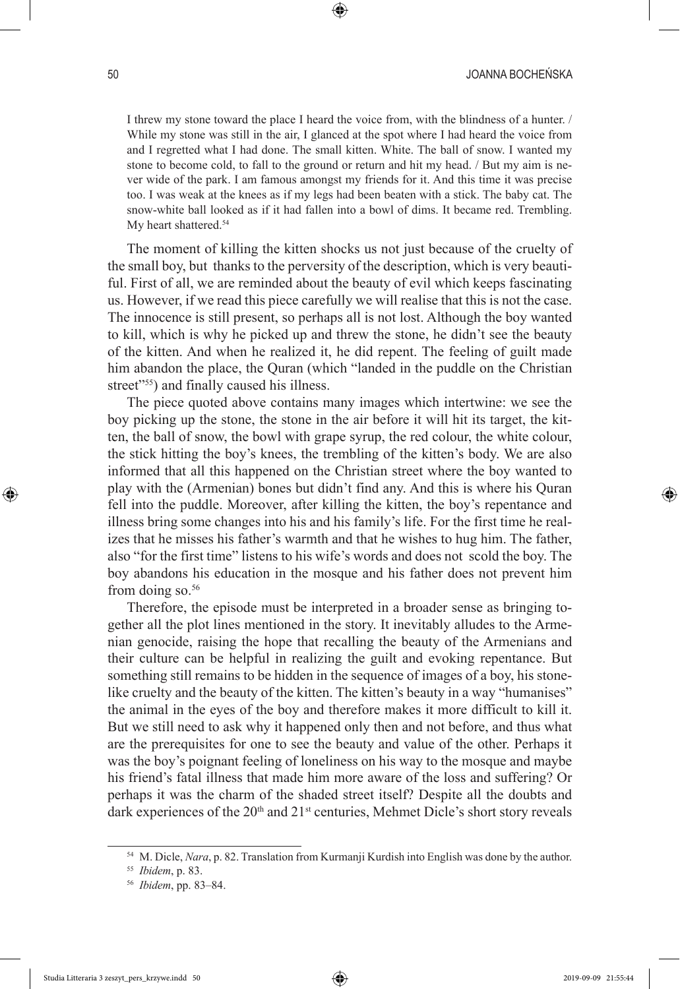I threw my stone toward the place I heard the voice from, with the blindness of a hunter. / While my stone was still in the air, I glanced at the spot where I had heard the voice from and I regretted what I had done. The small kitten. White. The ball of snow. I wanted my stone to become cold, to fall to the ground or return and hit my head. / But my aim is never wide of the park. I am famous amongst my friends for it. And this time it was precise too. I was weak at the knees as if my legs had been beaten with a stick. The baby cat. The snow-white ball looked as if it had fallen into a bowl of dims. It became red. Trembling. My heart shattered.<sup>54</sup>

The moment of killing the kitten shocks us not just because of the cruelty of the small boy, but thanks to the perversity of the description, which is very beautiful. First of all, we are reminded about the beauty of evil which keeps fascinating us. However, if we read this piece carefully we will realise that this is not the case. The innocence is still present, so perhaps all is not lost. Although the boy wanted to kill, which is why he picked up and threw the stone, he didn't see the beauty of the kitten. And when he realized it, he did repent. The feeling of guilt made him abandon the place, the Quran (which "landed in the puddle on the Christian street"<sup>555</sup>) and finally caused his illness.

The piece quoted above contains many images which intertwine: we see the boy picking up the stone, the stone in the air before it will hit its target, the kitten, the ball of snow, the bowl with grape syrup, the red colour, the white colour, the stick hitting the boy's knees, the trembling of the kitten's body. We are also informed that all this happened on the Christian street where the boy wanted to play with the (Armenian) bones but didn't find any. And this is where his Quran fell into the puddle. Moreover, after killing the kitten, the boy's repentance and illness bring some changes into his and his family's life. For the first time he realizes that he misses his father's warmth and that he wishes to hug him. The father, also "for the first time" listens to his wife's words and does not scold the boy. The boy abandons his education in the mosque and his father does not prevent him from doing so.<sup>56</sup>

Therefore, the episode must be interpreted in a broader sense as bringing together all the plot lines mentioned in the story. It inevitably alludes to the Armenian genocide, raising the hope that recalling the beauty of the Armenians and their culture can be helpful in realizing the guilt and evoking repentance. But something still remains to be hidden in the sequence of images of a boy, his stonelike cruelty and the beauty of the kitten. The kitten's beauty in a way "humanises" the animal in the eyes of the boy and therefore makes it more difficult to kill it. But we still need to ask why it happened only then and not before, and thus what are the prerequisites for one to see the beauty and value of the other. Perhaps it was the boy's poignant feeling of loneliness on his way to the mosque and maybe his friend's fatal illness that made him more aware of the loss and suffering? Or perhaps it was the charm of the shaded street itself? Despite all the doubts and dark experiences of the  $20<sup>th</sup>$  and  $21<sup>st</sup>$  centuries, Mehmet Dicle's short story reveals

<sup>54</sup> M. Dicle, *Nara*, p. 82. Translation from Kurmanji Kurdish into English was done by the author.

<sup>55</sup> *Ibidem*, p. 83.

<sup>56</sup> *Ibidem*, pp. 83–84.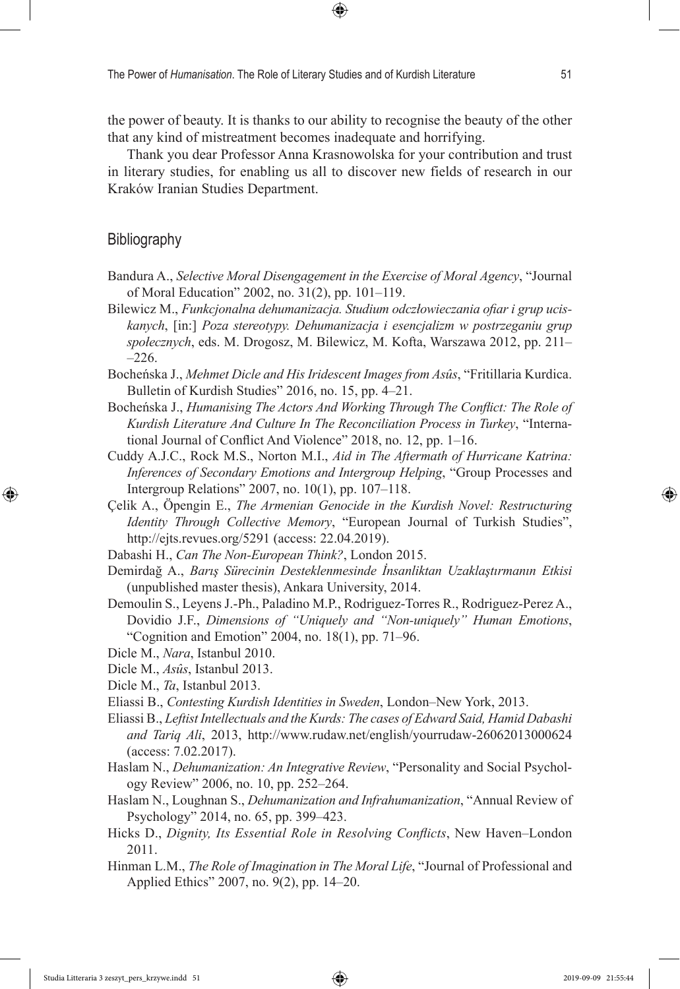the power of beauty. It is thanks to our ability to recognise the beauty of the other that any kind of mistreatment becomes inadequate and horrifying.

Thank you dear Professor Anna Krasnowolska for your contribution and trust in literary studies, for enabling us all to discover new fields of research in our Kraków Iranian Studies Department.

### **Bibliography**

- Bandura A., *Selective Moral Disengagement in the Exercise of Moral Agency*, "Journal of Moral Education" 2002, no. 31(2), pp. 101–119.
- Bilewicz M., *Funkcjonalna dehumanizacja. Studium odczłowieczania ofiar i grup uciskanych*, [in:] *Poza stereotypy. Dehumanizacja i esencjalizm w postrzeganiu grup społecznych*, eds. M. Drogosz, M. Bilewicz, M. Kofta, Warszawa 2012, pp. 211–  $-226.$
- Bocheńska J., *Mehmet Dicle and His Iridescent Images from Asûs*, "Fritillaria Kurdica. Bulletin of Kurdish Studies" 2016, no. 15, pp. 4–21.
- Bocheńska J., *Humanising The Actors And Working Through The Conflict: The Role of Kurdish Literature And Culture In The Reconciliation Process in Turkey*, "International Journal of Conflict And Violence" 2018, no. 12, pp. 1–16.
- Cuddy A.J.C., Rock M.S., Norton M.I., *Aid in The Aftermath of Hurricane Katrina: Inferences of Secondary Emotions and Intergroup Helping*, "Group Processes and Intergroup Relations" 2007, no. 10(1), pp. 107–118.
- Çelik A., Öpengin E., *The Armenian Genocide in the Kurdish Novel: Restructuring Identity Through Collective Memory*, "European Journal of Turkish Studies", http://ejts.revues.org/5291 (access: 22.04.2019).
- Dabashi H., *Can The Non-European Think?*, London 2015.
- Demirdağ A., *Barış Sürecinin Desteklenmesinde İnsanliktan Uzaklaştırmanın Etkisi* (unpublished master thesis), Ankara University, 2014.
- Demoulin S., Leyens J.-Ph., Paladino M.P., Rodriguez-Torres R., Rodriguez-Perez A., Dovidio J.F., *Dimensions of "Uniquely and "Non-uniquely" Human Emotions*, "Cognition and Emotion" 2004, no. 18(1), pp. 71–96.
- Dicle M., *Nara*, Istanbul 2010.
- Dicle M., *Asûs*, Istanbul 2013.
- Dicle M., *Ta*, Istanbul 2013.
- Eliassi B., *Contesting Kurdish Identities in Sweden*, London–New York, 2013.
- Eliassi B., *Leftist Intellectuals and the Kurds: The cases of Edward Said, Hamid Dabashi and Tariq Ali*, 2013, http://www.rudaw.net/english/yourrudaw-26062013000624 (access: 7.02.2017).
- Haslam N., *Dehumanization: An Integrative Review*, "Personality and Social Psychology Review" 2006, no. 10, pp. 252–264.
- Haslam N., Loughnan S., *Dehumanization and Infrahumanization*, "Annual Review of Psychology" 2014, no. 65, pp. 399–423.
- Hicks D., *Dignity, Its Essential Role in Resolving Conflicts*, New Haven–London 2011.
- Hinman L.M., *The Role of Imagination in The Moral Life*, "Journal of Professional and Applied Ethics" 2007, no. 9(2), pp. 14–20.